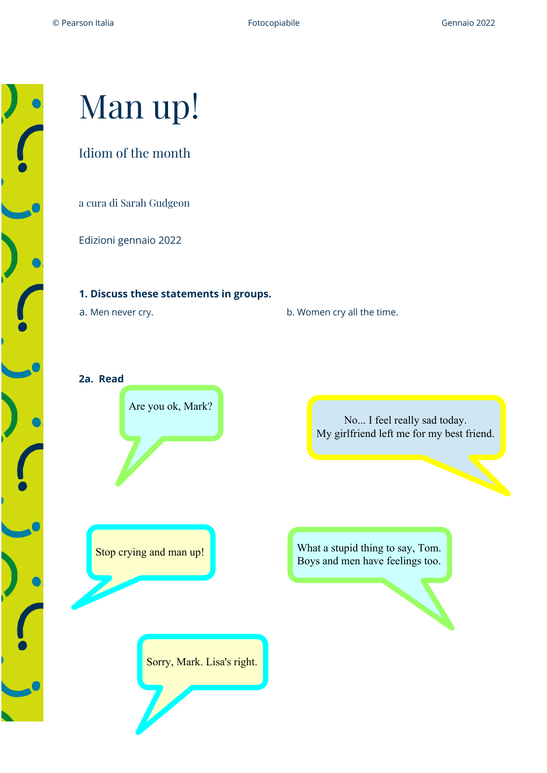# Man up!

## Idiom of the month

a cura di Sarah Gudgeon

Edizioni gennaio 2022

### **1. Discuss these statements in groups.**

**a. Men never cry. b. Women cry all the time.** 

**2a. Read**



No... I feel really sad today. My girlfriend left me for my best friend.

What a stupid thing to say, Tom. Stop crying and man up!<br>Boys and men have feelings too.

Sorry, Mark. Lisa's right.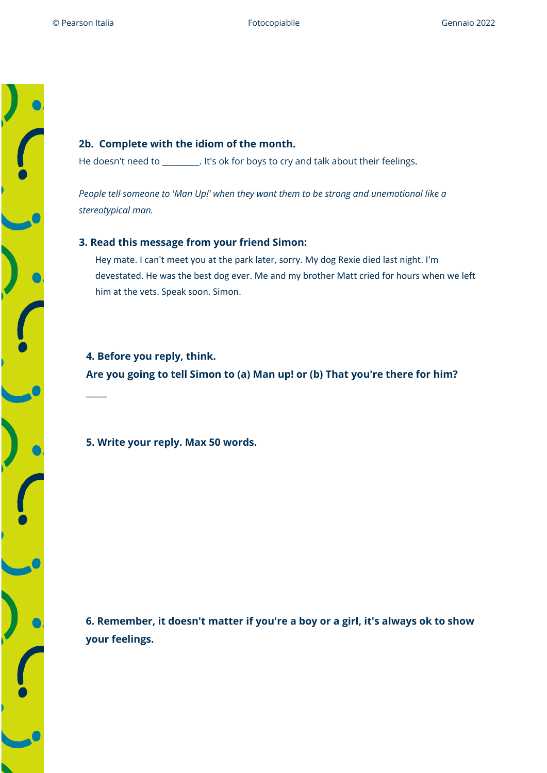#### **2b. Complete with the idiom of the month.**

He doesn't need to \_\_\_\_\_\_\_\_\_. It's ok for boys to cry and talk about their feelings.

*People tell someone to 'Man Up!' when they want them to be strong and unemotional like a stereotypical man.*

#### **3. Read this message from your friend Simon:**

Hey mate. I can't meet you at the park later, sorry. My dog Rexie died last night. I'm devestated. He was the best dog ever. Me and my brother Matt cried for hours when we left him at the vets. Speak soon. Simon.

**4. Before you reply, think. Are you going to tell Simon to (a) Man up! or (b) That you're there for him?**

**5. Write your reply. Max 50 words.**

**\_\_\_\_\_**

**6. Remember, it doesn't matter if you're a boy or a girl, it's always ok to show your feelings.**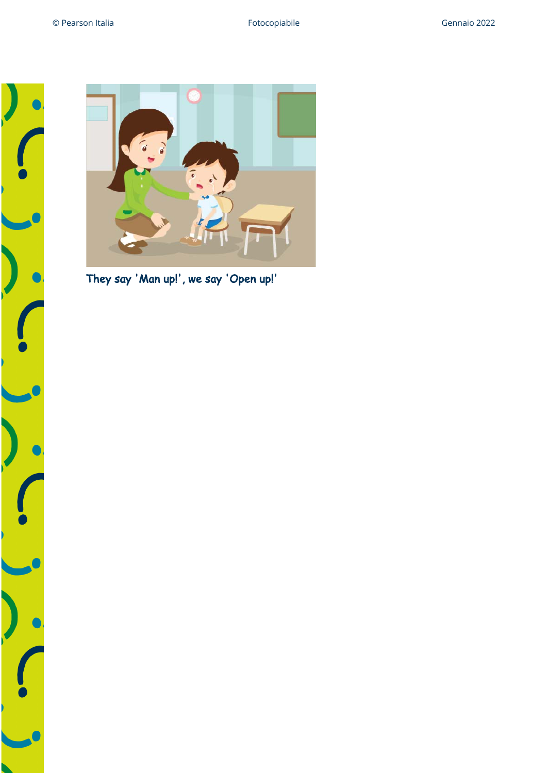